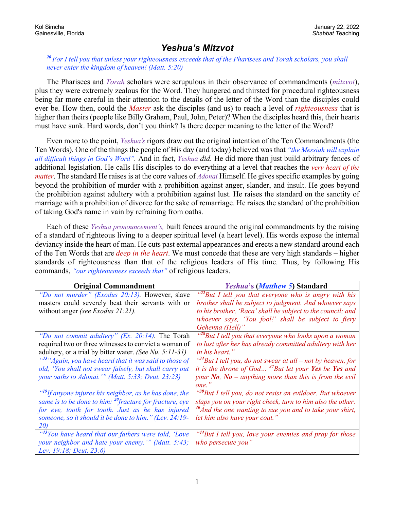## *Yeshua's Mitzvot*

## *<sup>20</sup> For I tell you that unless your righteousness exceeds that of the Pharisees and Torah scholars, you shall never enter the kingdom of heaven! (Matt. 5:20)*

The Pharisees and *Torah* scholars were scrupulous in their observance of commandments (*mitzvot*), plus they were extremely zealous for the Word. They hungered and thirsted for procedural righteousness being far more careful in their attention to the details of the letter of the Word than the disciples could ever be. How then, could the *Master* ask the disciples (and us) to reach a level of *righteousness* that is higher than theirs (people like Billy Graham, Paul, John, Peter)? When the disciples heard this, their hearts must have sunk. Hard words, don't you think? Is there deeper meaning to the letter of the Word?

Even more to the point, *Yeshua's* rigors draw out the original intention of the Ten Commandments (the Ten Words)*.* One of the things the people of His day (and today) believed was that *"the Messiah will explain all difficult things in God's Word".* And in fact, *Yeshua did.* He did more than just build arbitrary fences of additional legislation. He calls His disciples to do everything at a level that reaches the *very heart of the matter*. The standard He raises is at the core values of *Adonai* Himself. He gives specific examples by going beyond the prohibition of murder with a prohibition against anger, slander, and insult. He goes beyond the prohibition against adultery with a prohibition against lust. He raises the standard on the sanctity of marriage with a prohibition of divorce for the sake of remarriage. He raises the standard of the prohibition of taking God's name in vain by refraining from oaths.

Each of these *Yeshua pronouncement's,* built fences around the original commandments by the raising of a standard of righteous living to a deeper spiritual level (a heart level). His words expose the internal deviancy inside the heart of man. He cuts past external appearances and erects a new standard around each of the Ten Words that are *deep in the heart*. We must concede that these are very high standards – higher standards of righteousness than that of the religious leaders of His time. Thus, by following His commands, *"our righteousness exceeds that"* of religious leaders.

| <b>Original Commandment</b>                                         | <i>Yeshua's (Matthew 5) Standard</i>                                     |
|---------------------------------------------------------------------|--------------------------------------------------------------------------|
| "Do not murder" (Exodus 20:13). However, slave                      | $^{422}$ But I tell you that everyone who is angry with his              |
| masters could severely beat their servants with or                  | brother shall be subject to judgment. And whoever says                   |
| without anger <i>(see Exodus 21:21)</i> .                           | to his brother, 'Raca' shall be subject to the council; and              |
|                                                                     | whoever says, 'You fool!' shall be subject to fiery                      |
|                                                                     | Gehenna (Hell)'                                                          |
| "Do not commit adultery" (Ex. 20:14). The Torah                     | " <sup>28</sup> But I tell you that everyone who looks upon a woman"     |
| required two or three witnesses to convict a woman of               | to lust after her has already committed adultery with her                |
| adultery, or a trial by bitter water. (See Nu. 5:11-31)             | in his heart."                                                           |
| "33" Again, you have heard that it was said to those of             | $\frac{34}{34}$ But I tell you, do not swear at all – not by heaven, for |
| old, 'You shall not swear falsely, but shall carry out              | it is the throne of God $37$ But let your Yes be Yes and                 |
| your oaths to Adonai."" (Matt. 5:33; Deut. 23:23)                   | your No, $N$ o – anything more than this is from the evil                |
|                                                                     | one."                                                                    |
| " <sup>19</sup> If anyone injures his neighbor, as he has done, the | " <sup>39</sup> But I tell you, do not resist an evildoer. But whoever   |
| same is to be done to him: $^{20}$ fracture for fracture, eye       | slaps you on your right cheek, turn to him also the other.               |
| for eye, tooth for tooth. Just as he has injured                    | $40$ And the one wanting to sue you and to take your shirt,              |
| someone, so it should it be done to him." (Lev. 24:19-              | let him also have your coat."                                            |
| 20)                                                                 |                                                                          |
| "43You have heard that our fathers were told, 'Love                 | " <sup>44</sup> But I tell you, love your enemies and pray for those     |
| your neighbor and hate your enemy."" (Matt. 5:43;                   | who persecute you"                                                       |
| Lev. 19:18; Deut. 23:6)                                             |                                                                          |